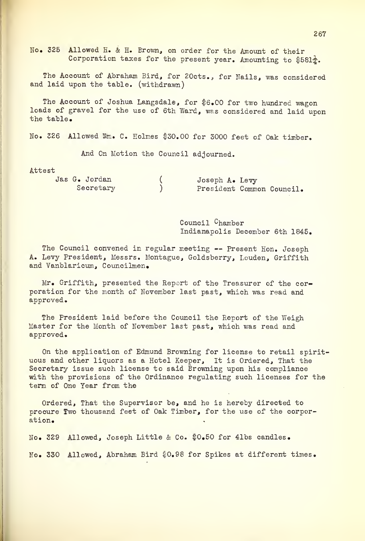No. 325 Allowed H. & H. Brown, on order for the Amount of their Corporation taxes for the present year. Amounting to  $$581\frac{1}{2}$ .

The Account of Abraham Bird, for 20cts., for Nails, was considered and laid upon the table, (withdrawn)

The Account of Joshua Langsdale, for \$6.00 for two hundred wagon loads of gravel for the use of 6th Ward, was considered and laid upon the table.

No. 326 Allowed Wm. C. Holmes \$30.00 for 3000 feet of Oak timber.

And On Motion the Council adjourned.

Attest

| Jas G. Jordan | Joseph A. Levy            |
|---------------|---------------------------|
| Secretary     | President Common Council. |

Council Chamber Indianapolis December 6th 1845.

The Council convened in regular meeting -- Present Hon. Joseph A. Levy President, Messrs. Montague, Goldsberry, Louden, Griffith and Vanblaricum, Councilmen.

Mr. Griffith, presented the Report of the Treasurer of the corporation for the month of November last past, which was read and approved.

The President laid before the Council the Report of the Weigh Master for the Month of November last past, which was read and approved.

On the application of Edmund Browning for license to retail spirit uous and other liquors as a Hotel Keeper, It is Ordered, That the Secretary issue such license to said Browning upon his compliance with the provisions of the Ordinance regulating such licenses for the term of One Year from the

Ordered, That the Supervisor be, and he is hereby directed to procure Two thousand feet of Oak Timber, for the use of the corporation.

No. 329 Allowed, Joseph Little & Co. \$0.50 for 41bs candles. No. 330 Allowed, Abraham Bird \$0.98 for Spikes at different times.